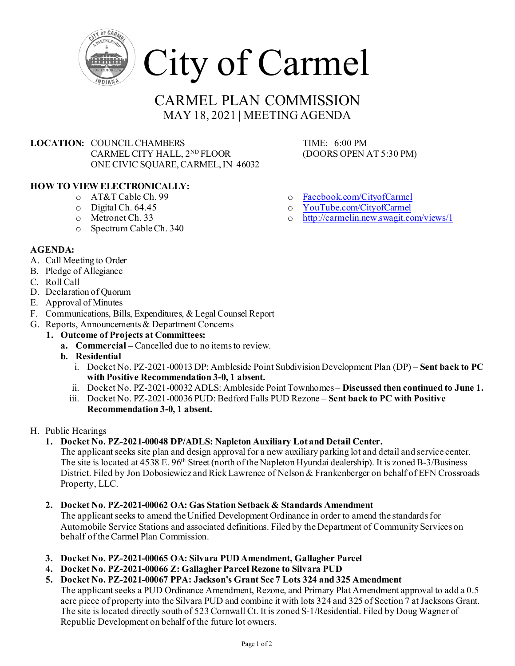

# CARMEL PLAN COMMISSION MAY 18, 2021 | MEETING AGENDA

**LOCATION:** COUNCIL CHAMBERS TIME: 6:00 PM<br>CARMEL CITY HALL, 2<sup>ND</sup> FLOOR (DOORS OPEN AT 5:30 PM) CARMEL CITY HALL, 2<sup>ND</sup> FLOOR ONE CIVIC SQUARE, CARMEL, IN 46032

# **HOW TO VIEW ELECTRONICALLY:**

- o AT&T Cable Ch. 99
- o Digital Ch. 64.45
- o Metronet Ch. 33
- o Spectrum Cable Ch. 340

- o [Facebook.com/CityofCarmel](https://www.facebook.com/CityofCarmel/)
- o [YouTube.com/CityofCarmel](https://www.youtube.com/channel/UCehYsbi2i8jGvjkmE9cSPmg)
- <http://carmelin.new.swagit.com/views/1>

- **AGENDA:**
- A. Call Meeting to Order
- B. Pledge of Allegiance
- C. Roll Call
- D. Declaration of Quorum
- E. Approval of Minutes
- F. Communications, Bills, Expenditures, & Legal Counsel Report
- G. Reports, Announcements & Department Concerns
	- **1. Outcome of Projects at Committees:**
		- **a. Commercial –** Cancelled due to no items to review.
		- **b. Residential** 
			- i. Docket No. PZ-2021-00013 DP: Ambleside Point Subdivision Development Plan (DP) **Sent back to PC with Positive Recommendation 3-0, 1 absent.**
			- ii. Docket No. PZ-2021-00032 ADLS: Ambleside Point Townhomes **Discussed then continued to June 1.**
			- iii. Docket No. PZ-2021-00036 PUD: Bedford Falls PUD Rezone **Sent back to PC with Positive Recommendation 3-0, 1 absent.**
- H. Public Hearings
	- **1. Docket No. PZ-2021-00048 DP/ADLS: Napleton Auxiliary Lot and Detail Center.**

The applicant seeks site plan and design approval for a new auxiliary parking lot and detail and service center. The site is located at 4538 E. 96<sup>th</sup> Street (north of the Napleton Hyundai dealership). It is zoned B-3/Business District. Filed by Jon Dobosiewicz and Rick Lawrence of Nelson & Frankenberger on behalf of EFN Crossroads Property, LLC.

**2. Docket No. PZ-2021-00062 OA: Gas Station Setback & Standards Amendment**

The applicant seeks to amend the Unified Development Ordinance in order to amend the standards for Automobile Service Stations and associated definitions. Filed by the Department of Community Services on behalf of the Carmel Plan Commission.

- **3. Docket No. PZ-2021-00065 OA: Silvara PUD Amendment, Gallagher Parcel**
- **4. Docket No. PZ-2021-00066 Z: Gallagher Parcel Rezone to Silvara PUD**
- **5. Docket No. PZ-2021-00067 PPA: Jackson's Grant Sec 7 Lots 324 and 325 Amendment**

The applicant seeks a PUD Ordinance Amendment, Rezone, and Primary Plat Amendment approval to add a 0.5 acre piece of property into the Silvara PUD and combine it with lots 324 and 325 of Section 7 at Jacksons Grant. The site is located directly south of 523 Cornwall Ct. It is zoned S-1/Residential. Filed by Doug Wagner of Republic Development on behalf of the future lot owners.